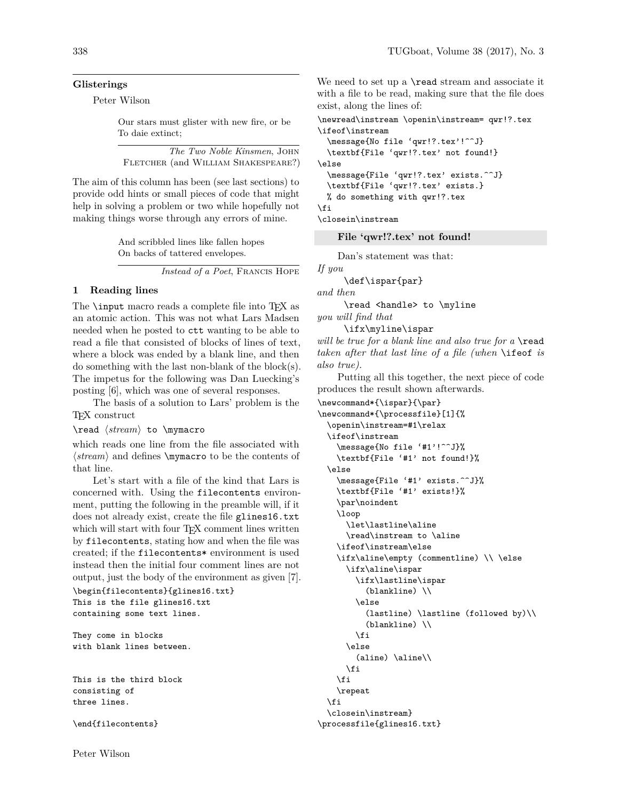#### **Glisterings**

Peter Wilson

Our stars must glister with new fire, or be To daie extinct;

|                                     |  | The Two Noble Kinsmen, JOHN |  |
|-------------------------------------|--|-----------------------------|--|
| FLETCHER (and WILLIAM SHAKESPEARE?) |  |                             |  |

The aim of this column has been (see last sections) to provide odd hints or small pieces of code that might help in solving a problem or two while hopefully not making things worse through any errors of mine.

> And scribbled lines like fallen hopes On backs of tattered envelopes.

> > *Instead of a Poet*, Francis Hope

### **1 Reading lines**

The **\input** macro reads a complete file into T<sub>EX</sub> as an atomic action. This was not what Lars Madsen needed when he posted to ctt wanting to be able to read a file that consisted of blocks of lines of text, where a block was ended by a blank line, and then do something with the last non-blank of the block(s). The impetus for the following was Dan Luecking's posting [6], which was one of several responses.

The basis of a solution to Lars' problem is the TEX construct

\read h*stream*i to \mymacro

which reads one line from the file associated with  $\langle stream \rangle$  and defines  $\mu$ **contents** of that line.

Let's start with a file of the kind that Lars is concerned with. Using the filecontents environment, putting the following in the preamble will, if it does not already exist, create the file glines16.txt which will start with four T<sub>E</sub>X comment lines written by filecontents, stating how and when the file was created; if the filecontents\* environment is used instead then the initial four comment lines are not output, just the body of the environment as given [7].

```
\begin{filecontents}{glines16.txt}
This is the file glines16.txt
containing some text lines.
```

```
They come in blocks
with blank lines between.
```
This is the third block consisting of three lines.

\end{filecontents}

We need to set up a **\read** stream and associate it with a file to be read, making sure that the file does exist, along the lines of:

\newread\instream \openin\instream= qwr!?.tex \ifeof\instream

```
\message{No file 'qwr!?.tex'!^^J}
 \textbf{File 'qwr!?.tex' not found!}
\else
  \message{File 'qwr!?.tex' exists.^^J}
  \textbf{File 'qwr!?.tex' exists.}
 % do something with qwr!?.tex
\fi
\closein\instream
```
**File 'qwr!?.tex' not found!**

Dan's statement was that:

*If you*

\def\ispar{par}

*and then*

\read <handle> to \myline *you will find that*

\ifx\myline\ispar

*will be true for a blank line and also true for a* \read *taken after that last line of a file (when* \ifeof *is also true).*

Putting all this together, the next piece of code produces the result shown afterwards.

```
\newcommand*{\ispar}{\par}
\newcommand*{\processfile}[1]{%
  \openin\instream=#1\relax
  \ifeof\instream
    \message{No file '#1'!^^J}%
    \textbf{File '#1' not found!}%
 \else
    \message{File '#1' exists.^^J}%
   \textbf{File '#1' exists!}%
    \par\noindent
   \loop
     \let\lastline\aline
      \read\instream to \aline
   \ifeof\instream\else
   \ifx\aline\empty (commentline) \\ \else
      \ifx\aline\ispar
        \ifx\lastline\ispar
          (blankline) \\
        \else
          (lastline) \lastline (followed by)\\
          (blankline) \\
        \fi
      \else
        (aline) \aline\\
      \fi
   \fi
   \repeat
 \fi
 \closein\instream}
\processfile{glines16.txt}
```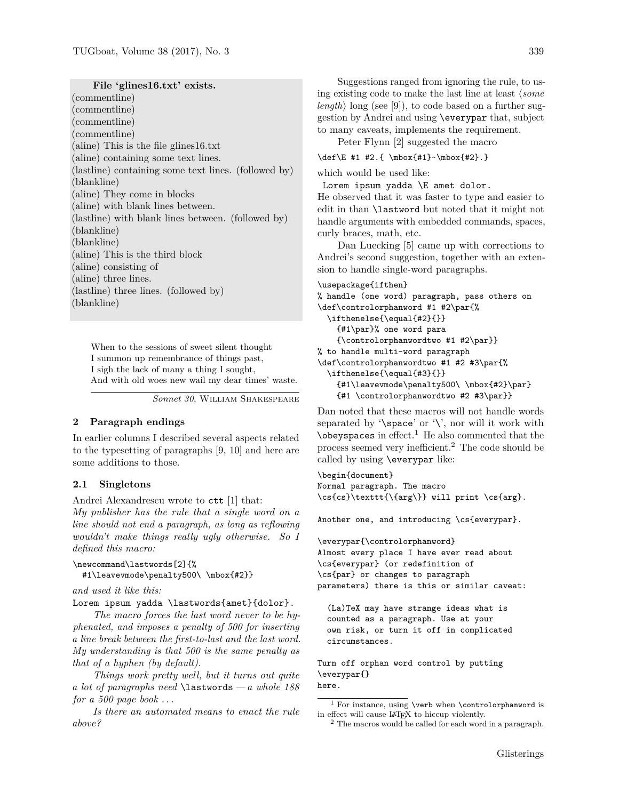**File 'glines16.txt' exists.**

(commentline) (commentline) (commentline) (commentline) (aline) This is the file glines16.txt (aline) containing some text lines. (lastline) containing some text lines. (followed by) (blankline) (aline) They come in blocks (aline) with blank lines between. (lastline) with blank lines between. (followed by) (blankline) (blankline) (aline) This is the third block (aline) consisting of (aline) three lines. (lastline) three lines. (followed by) (blankline)

When to the sessions of sweet silent thought I summon up remembrance of things past, I sigh the lack of many a thing I sought, And with old woes new wail my dear times' waste.

*Sonnet 30*, William Shakespeare

## **2 Paragraph endings**

In earlier columns I described several aspects related to the typesetting of paragraphs [9, 10] and here are some additions to those.

### **2.1 Singletons**

Andrei Alexandrescu wrote to ctt [1] that: *My publisher has the rule that a single word on a line should not end a paragraph, as long as reflowing wouldn't make things really ugly otherwise. So I defined this macro:*

### \newcommand\lastwords[2]{%

#1\leavevmode\penalty500\ \mbox{#2}}

*and used it like this:*

Lorem ipsum yadda \lastwords{amet}{dolor}.

*The macro forces the last word never to be hyphenated, and imposes a penalty of 500 for inserting a line break between the first-to-last and the last word. My understanding is that 500 is the same penalty as that of a hyphen (by default).*

*Things work pretty well, but it turns out quite a lot of paragraphs need* \lastwords*— a whole 188 for a 500 page book . . .*

*Is there an automated means to enact the rule above?*

Suggestions ranged from ignoring the rule, to using existing code to make the last line at least  $\langle some \rangle$ *length*) long (see [9]), to code based on a further suggestion by Andrei and using \everypar that, subject to many caveats, implements the requirement.

Peter Flynn [2] suggested the macro

\def\E #1 #2.{ \mbox{#1}~\mbox{#2}.}

which would be used like:

Lorem ipsum yadda \E amet dolor.

He observed that it was faster to type and easier to edit in than \lastword but noted that it might not handle arguments with embedded commands, spaces, curly braces, math, etc.

Dan Luecking [5] came up with corrections to Andrei's second suggestion, together with an extension to handle single-word paragraphs.

```
\usepackage{ifthen}
```

```
% handle (one word) paragraph, pass others on
\def\controlorphanword #1 #2\par{%
  \ifthenelse{\equal{#2}{}}
   {#1\par}% one word para
   {\controlorphanwordtwo #1 #2\par}}
% to handle multi-word paragraph
\def\controlorphanwordtwo #1 #2 #3\par{%
  \ifthenelse{\equal{#3}{}}
   {#1\leavevmode\penalty500\ \mbox{#2}\par}
   {#1 \controlorphanwordtwo #2 #3\par}}
```
Dan noted that these macros will not handle words separated by  $\space$ space' or  $\space$ ', nor will it work with  $\lambda$ obeyspaces in effect.<sup>1</sup> He also commented that the process seemed very inefficient.<sup>2</sup> The code should be called by using \everypar like:

```
\begin{document}
Normal paragraph. The macro
\cs{cs}\texttt{\{arg\}} will print \cs{arg}.
```
Another one, and introducing \cs{everypar}.

\everypar{\controlorphanword} Almost every place I have ever read about \cs{everypar} (or redefinition of \cs{par} or changes to paragraph parameters) there is this or similar caveat:

(La)TeX may have strange ideas what is counted as a paragraph. Use at your own risk, or turn it off in complicated circumstances.

Turn off orphan word control by putting \everypar{} here.

 $^1$  For instance, using **\verb** when **\controlorphanword** is in effect will cause LATEX to hiccup violently.

<sup>2</sup> The macros would be called for each word in a paragraph.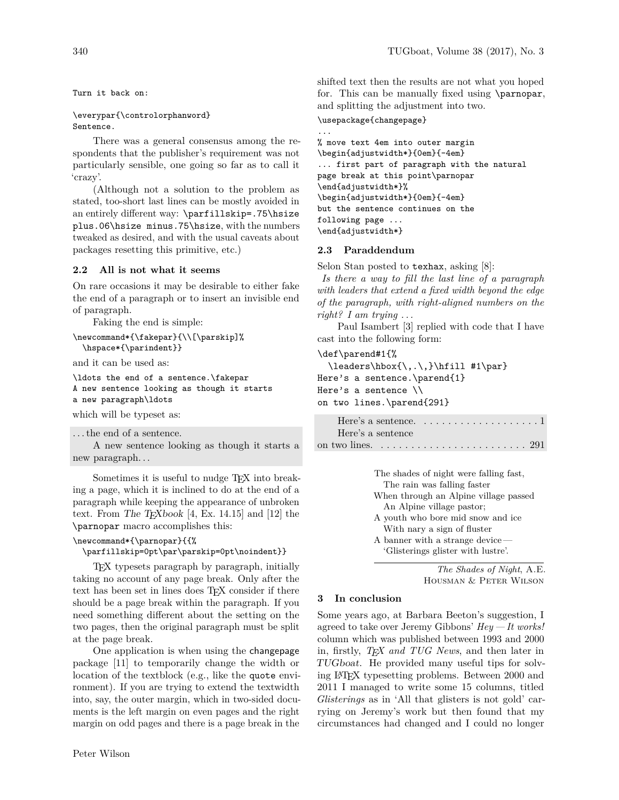Turn it back on:

## \everypar{\controlorphanword} Sentence.

There was a general consensus among the respondents that the publisher's requirement was not particularly sensible, one going so far as to call it 'crazy'.

(Although not a solution to the problem as stated, too-short last lines can be mostly avoided in an entirely different way: \parfillskip=.75\hsize plus.06\hsize minus.75\hsize, with the numbers tweaked as desired, and with the usual caveats about packages resetting this primitive, etc.)

# **2.2 All is not what it seems**

On rare occasions it may be desirable to either fake the end of a paragraph or to insert an invisible end of paragraph.

Faking the end is simple:

```
\newcommand*{\fakepar}{\\[\parskip]%
  \hspace*{\parindent}}
```
and it can be used as:

```
\ldots the end of a sentence.\fakepar
A new sentence looking as though it starts
a new paragraph\ldots
```
which will be typeset as:

```
. . . the end of a sentence.
```
A new sentence looking as though it starts a new paragraph. . .

Sometimes it is useful to nudge TEX into breaking a page, which it is inclined to do at the end of a paragraph while keeping the appearance of unbroken text. From The T<sub>E</sub>Xbook [4, Ex. 14.15] and [12] the \parnopar macro accomplishes this:

# \newcommand\*{\parnopar}{{%

\parfillskip=0pt\par\parskip=0pt\noindent}}

TEX typesets paragraph by paragraph, initially taking no account of any page break. Only after the text has been set in lines does TFX consider if there should be a page break within the paragraph. If you need something different about the setting on the two pages, then the original paragraph must be split at the page break.

One application is when using the changepage package [11] to temporarily change the width or location of the textblock (e.g., like the quote environment). If you are trying to extend the textwidth into, say, the outer margin, which in two-sided documents is the left margin on even pages and the right margin on odd pages and there is a page break in the

shifted text then the results are not what you hoped for. This can be manually fixed using \parnopar, and splitting the adjustment into two.

### \usepackage{changepage}

...

```
% move text 4em into outer margin
\begin{adjustwidth*}{0em}{-4em}
... first part of paragraph with the natural
page break at this point\parnopar
\end{adjustwidth*}%
\begin{adjustwidth*}{0em}{-4em}
but the sentence continues on the
following page ...
\end{adjustwidth*}
```
# **2.3 Paraddendum**

Selon Stan posted to texhax, asking [8]:

*Is there a way to fill the last line of a paragraph with leaders that extend a fixed width beyond the edge of the paragraph, with right-aligned numbers on the right? I am trying . . .*

Paul Isambert [3] replied with code that I have cast into the following form:

### \def\parend#1{%

```
\label{lem:main} $$\leaders\hbox{\', .\,}\hfill #1\parmathHere's a sentence.\parend{1}
Here's a sentence \\
on two lines.\parend{291}
```

|                   | Here's a sentence. $\dots \dots \dots \dots \dots \dots \dots 1$                |  |
|-------------------|---------------------------------------------------------------------------------|--|
| Here's a sentence |                                                                                 |  |
|                   | on two lines. $\dots \dots \dots \dots \dots \dots \dots \dots \dots \dots 291$ |  |

The shades of night were falling fast, The rain was falling faster When through an Alpine village passed An Alpine village pastor; A youth who bore mid snow and ice With nary a sign of fluster A banner with a strange device — 'Glisterings glister with lustre'.

> *The Shades of Night*, A.E. Housman & Peter Wilson

### **3 In conclusion**

Some years ago, at Barbara Beeton's suggestion, I agreed to take over Jeremy Gibbons' *Hey — It works!* column which was published between 1993 and 2000 in, firstly, *TEX and TUG News*, and then later in TUGboat. He provided many useful tips for solving LATEX typesetting problems. Between 2000 and 2011 I managed to write some 15 columns, titled *Glisterings* as in 'All that glisters is not gold' carrying on Jeremy's work but then found that my circumstances had changed and I could no longer